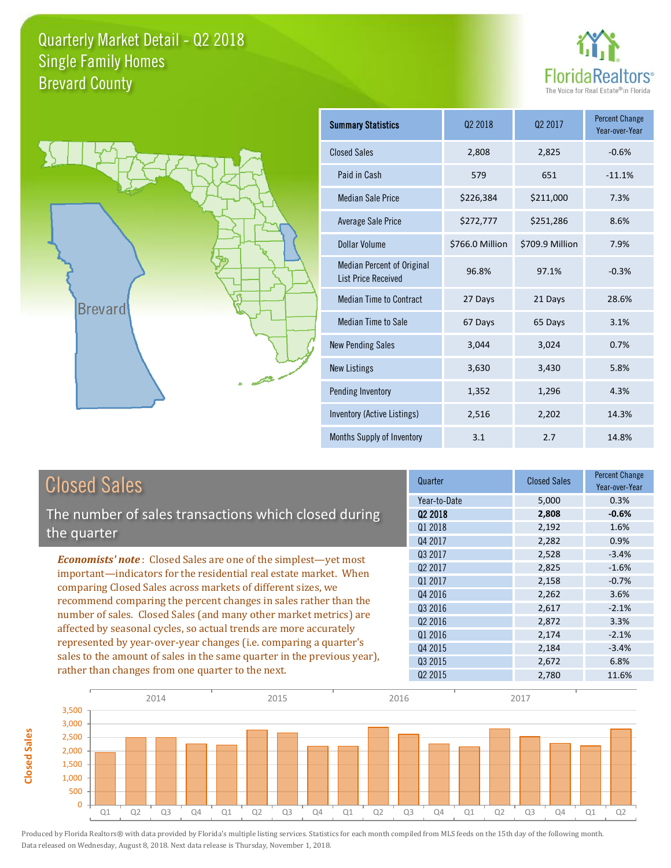



**Closed Sales**

**Closed Sales** 

| <b>Summary Statistics</b>                                       | 02 2018         | 02 2017         | <b>Percent Change</b><br>Year-over-Year |
|-----------------------------------------------------------------|-----------------|-----------------|-----------------------------------------|
| <b>Closed Sales</b>                                             | 2,808           | 2,825           | $-0.6%$                                 |
| Paid in Cash                                                    | 579             | 651             | $-11.1%$                                |
| Median Sale Price                                               | \$226,384       | \$211,000       | 7.3%                                    |
| <b>Average Sale Price</b>                                       | \$272,777       | \$251,286       | 8.6%                                    |
| Dollar Volume                                                   | \$766.0 Million | \$709.9 Million | 7.9%                                    |
| <b>Median Percent of Original</b><br><b>List Price Received</b> | 96.8%           | 97.1%           | $-0.3%$                                 |
| <b>Median Time to Contract</b>                                  | 27 Days         | 21 Days         | 28.6%                                   |
| Median Time to Sale                                             | 67 Days         | 65 Days         | 3.1%                                    |
| <b>New Pending Sales</b>                                        | 3,044           | 3,024           | 0.7%                                    |
| <b>New Listings</b>                                             | 3,630           | 3,430           | 5.8%                                    |
| Pending Inventory                                               | 1,352           | 1,296           | 4.3%                                    |
| Inventory (Active Listings)                                     | 2,516           | 2,202           | 14.3%                                   |
| Months Supply of Inventory                                      | 3.1             | 2.7             | 14.8%                                   |

| <b>Closed Sales</b>                                                                                                                                                                                                                                                        | Quarter             | <b>Closed Sales</b> | <b>Percent Change</b><br>Year-over-Year |
|----------------------------------------------------------------------------------------------------------------------------------------------------------------------------------------------------------------------------------------------------------------------------|---------------------|---------------------|-----------------------------------------|
|                                                                                                                                                                                                                                                                            | Year-to-Date        | 5,000               | 0.3%                                    |
| The number of sales transactions which closed during                                                                                                                                                                                                                       | 02 2018             | 2,808               | $-0.6%$                                 |
| the quarter                                                                                                                                                                                                                                                                | Q1 2018             | 2,192               | 1.6%                                    |
|                                                                                                                                                                                                                                                                            | Q4 2017             | 2,282               | 0.9%                                    |
| <b>Economists' note:</b> Closed Sales are one of the simplest-yet most                                                                                                                                                                                                     | 03 2017             | 2,528               | $-3.4%$                                 |
| important—indicators for the residential real estate market. When<br>comparing Closed Sales across markets of different sizes, we<br>recommend comparing the percent changes in sales rather than the<br>number of sales. Closed Sales (and many other market metrics) are | Q <sub>2</sub> 2017 | 2,825               | $-1.6%$                                 |
|                                                                                                                                                                                                                                                                            | 01 2017             | 2,158               | $-0.7%$                                 |
|                                                                                                                                                                                                                                                                            | Q4 2016             | 2,262               | 3.6%                                    |
|                                                                                                                                                                                                                                                                            | Q3 2016             | 2,617               | $-2.1%$                                 |
|                                                                                                                                                                                                                                                                            | Q <sub>2</sub> 2016 | 2,872               | 3.3%                                    |
| affected by seasonal cycles, so actual trends are more accurately                                                                                                                                                                                                          | 01 2016             | 2,174               | $-2.1%$                                 |
| represented by year-over-year changes (i.e. comparing a quarter's                                                                                                                                                                                                          | Q4 2015             | 2,184               | $-3.4%$                                 |
| sales to the amount of sales in the same quarter in the previous year),                                                                                                                                                                                                    | 03 2015             | 2,672               | 6.8%                                    |
| rather than changes from one quarter to the next.                                                                                                                                                                                                                          | 02 2015             | 2.780               | 11.6%                                   |

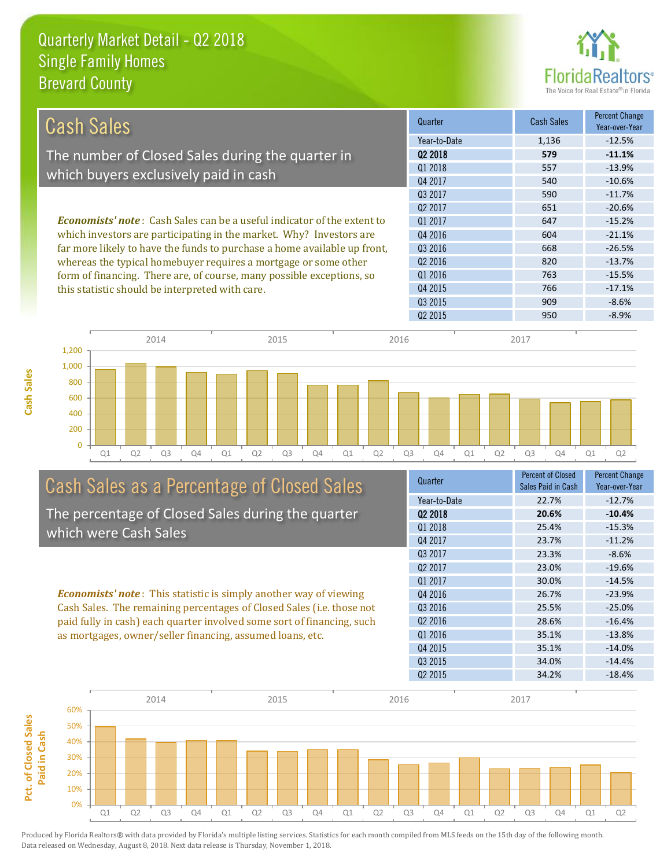

| Cash Sales                                                                     | Quarter             | Cash Sales | <b>Percent Change</b><br>Year-over-Year |
|--------------------------------------------------------------------------------|---------------------|------------|-----------------------------------------|
|                                                                                | Year-to-Date        | 1,136      | $-12.5%$                                |
| The number of Closed Sales during the quarter in                               | 02 2018             | 579        | $-11.1%$                                |
|                                                                                | 01 2018             | 557        | $-13.9%$                                |
| which buyers exclusively paid in cash                                          | Q4 2017             | 540        | $-10.6%$                                |
|                                                                                | 03 2017             | 590        | $-11.7%$                                |
|                                                                                | Q <sub>2</sub> 2017 | 651        | $-20.6%$                                |
| <b>Economists' note:</b> Cash Sales can be a useful indicator of the extent to | 01 2017             | 647        | $-15.2%$                                |
| which investors are participating in the market. Why? Investors are            | Q4 2016             | 604        | $-21.1%$                                |
| far more likely to have the funds to purchase a home available up front,       | 03 2016             | 668        | $-26.5%$                                |
| whereas the typical homebuyer requires a mortgage or some other                | 02 2016             | 820        | $-13.7%$                                |
| form of financing. There are, of course, many possible exceptions, so          | 01 2016             | 763        | $-15.5%$                                |
| this statistic should be interpreted with care.                                | 04 2015             | 766        | $-17.1%$                                |
|                                                                                | 03 2015             | 909        | $-8.6%$                                 |



# Cash Sales as a Percentage of Closed Sales

The percentage of Closed Sales during the quarter which were Cash Sales

*Economists' note* : This statistic is simply another way of viewing Cash Sales. The remaining percentages of Closed Sales (i.e. those not paid fully in cash) each quarter involved some sort of financing, such as mortgages, owner/seller financing, assumed loans, etc.

| Quarter             | <b>Percent of Closed</b> | <b>Percent Change</b> |
|---------------------|--------------------------|-----------------------|
|                     | Sales Paid in Cash       | Year-over-Year        |
| Year-to-Date        | 22.7%                    | $-12.7%$              |
| Q <sub>2</sub> 2018 | 20.6%                    | $-10.4%$              |
| 01 2018             | 25.4%                    | $-15.3%$              |
| Q4 2017             | 23.7%                    | $-11.2%$              |
| Q3 2017             | 23.3%                    | $-8.6%$               |
| Q <sub>2</sub> 2017 | 23.0%                    | $-19.6%$              |
| 01 2017             | 30.0%                    | $-14.5%$              |
| Q4 2016             | 26.7%                    | $-23.9%$              |
| Q3 2016             | 25.5%                    | $-25.0%$              |
| 02 2016             | 28.6%                    | $-16.4%$              |
| 01 2016             | 35.1%                    | $-13.8%$              |
| Q4 2015             | 35.1%                    | $-14.0%$              |
| Q <sub>3</sub> 2015 | 34.0%                    | $-14.4%$              |
| Q <sub>2</sub> 2015 | 34.2%                    | $-18.4%$              |
|                     |                          |                       |

Q2 2015 950 950 -8.9%

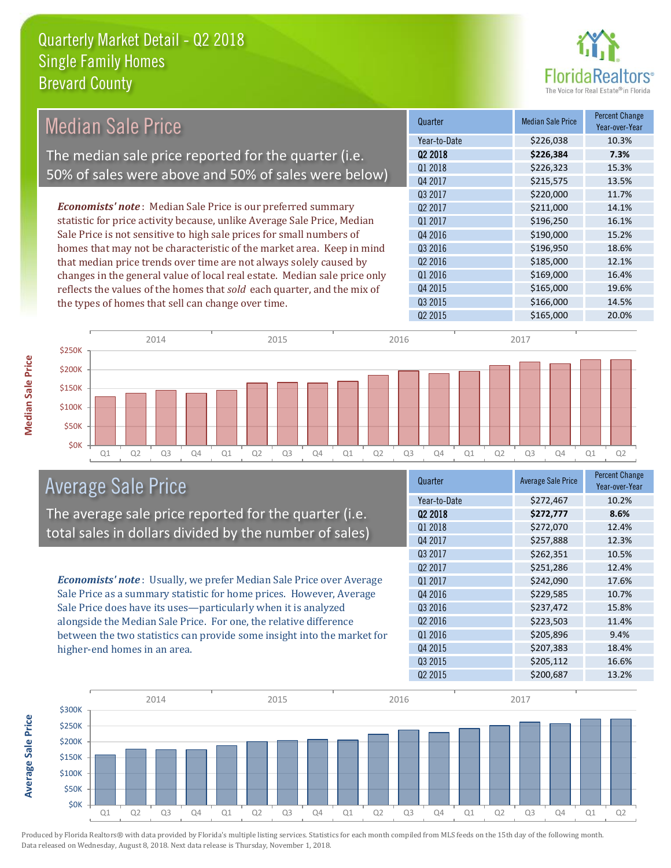

| <b>Median Sale Price</b>                                                  | Quarter             | <b>Median Sale Price</b> | Percent Change<br>Year-over-Year |
|---------------------------------------------------------------------------|---------------------|--------------------------|----------------------------------|
|                                                                           | Year-to-Date        | \$226,038                | 10.3%                            |
| The median sale price reported for the quarter (i.e.                      | 02 2018             | \$226,384                | 7.3%                             |
|                                                                           | Q1 2018             | \$226,323                | 15.3%                            |
| 50% of sales were above and 50% of sales were below)                      | Q4 2017             | \$215,575                | 13.5%                            |
|                                                                           | Q3 2017             | \$220,000                | 11.7%                            |
| <b>Economists' note:</b> Median Sale Price is our preferred summary       | Q <sub>2</sub> 2017 | \$211,000                | 14.1%                            |
| statistic for price activity because, unlike Average Sale Price, Median   | 01 2017             | \$196,250                | 16.1%                            |
| Sale Price is not sensitive to high sale prices for small numbers of      | Q4 2016             | \$190,000                | 15.2%                            |
| homes that may not be characteristic of the market area. Keep in mind     | Q3 2016             | \$196,950                | 18.6%                            |
| that median price trends over time are not always solely caused by        | Q <sub>2</sub> 2016 | \$185,000                | 12.1%                            |
| changes in the general value of local real estate. Median sale price only | Q1 2016             | \$169,000                | 16.4%                            |
| reflects the values of the homes that sold each quarter, and the mix of   | Q4 2015             | \$165,000                | 19.6%                            |
| the types of homes that sell can change over time.                        | Q3 2015             | \$166,000                | 14.5%                            |
|                                                                           | Q <sub>2</sub> 2015 | \$165,000                | 20.0%                            |
|                                                                           |                     |                          |                                  |



### Average Sale Price

The average sale price reported for the quarter (i.e. total sales in dollars divided by the number of sales)

*Economists' note* : Usually, we prefer Median Sale Price over Average Sale Price as a summary statistic for home prices. However, Average Sale Price does have its uses—particularly when it is analyzed alongside the Median Sale Price. For one, the relative difference between the two statistics can provide some insight into the market for higher-end homes in an area.

| <b>Average Sale Price</b> | <b>Percent Change</b><br>Year-over-Year |
|---------------------------|-----------------------------------------|
| \$272,467                 | 10.2%                                   |
| \$272,777                 | 8.6%                                    |
| \$272,070                 | 12.4%                                   |
| \$257,888                 | 12.3%                                   |
| \$262,351                 | 10.5%                                   |
| \$251,286                 | 12.4%                                   |
| \$242,090                 | 17.6%                                   |
| \$229,585                 | 10.7%                                   |
| \$237,472                 | 15.8%                                   |
| \$223,503                 | 11.4%                                   |
| \$205,896                 | 9.4%                                    |
| \$207,383                 | 18.4%                                   |
| \$205,112                 | 16.6%                                   |
| \$200,687                 | 13.2%                                   |
|                           |                                         |



Produced by Florida Realtors® with data provided by Florida's multiple listing services. Statistics for each month compiled from MLS feeds on the 15th day of the following month. Data released on Wednesday, August 8, 2018. Next data release is Thursday, November 1, 2018.

**Average Sale Price**

**Average Sale Price**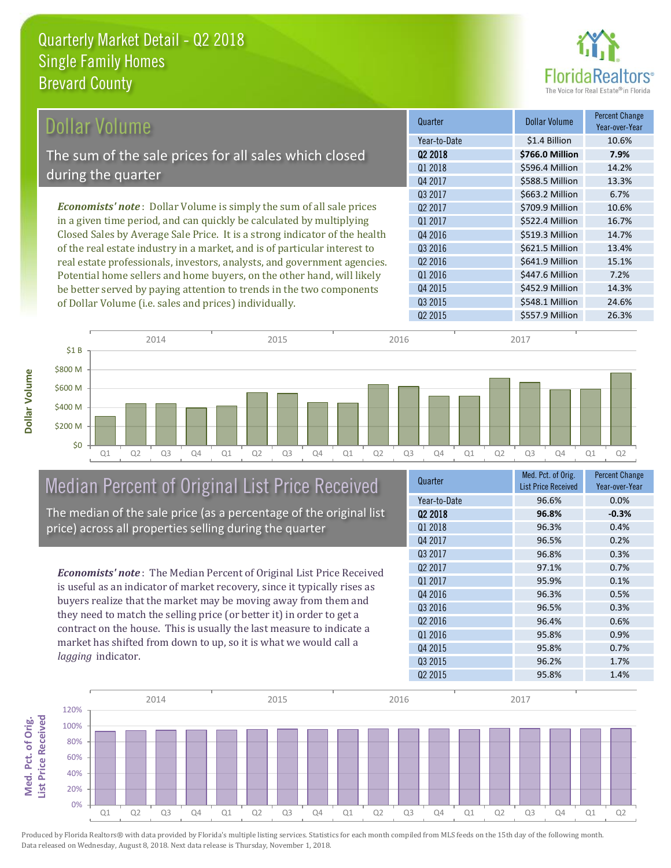

| Dollar Volume                                                               | Quarter             | <b>Dollar Volume</b> | <b>Percent Change</b><br>Year-over-Year |
|-----------------------------------------------------------------------------|---------------------|----------------------|-----------------------------------------|
|                                                                             | Year-to-Date        | \$1.4 Billion        | 10.6%                                   |
| The sum of the sale prices for all sales which closed                       | 02 2018             | \$766.0 Million      | 7.9%                                    |
|                                                                             | Q1 2018             | \$596.4 Million      | 14.2%                                   |
| during the quarter                                                          | Q4 2017             | \$588.5 Million      | 13.3%                                   |
|                                                                             | Q3 2017             | \$663.2 Million      | 6.7%                                    |
| <b>Economists' note:</b> Dollar Volume is simply the sum of all sale prices | 02 2017             | \$709.9 Million      | 10.6%                                   |
| in a given time period, and can quickly be calculated by multiplying        | 01 2017             | \$522.4 Million      | 16.7%                                   |
| Closed Sales by Average Sale Price. It is a strong indicator of the health  | Q4 2016             | \$519.3 Million      | 14.7%                                   |
| of the real estate industry in a market, and is of particular interest to   | Q3 2016             | \$621.5 Million      | 13.4%                                   |
| real estate professionals, investors, analysts, and government agencies.    | Q <sub>2</sub> 2016 | \$641.9 Million      | 15.1%                                   |
| Potential home sellers and home buyers, on the other hand, will likely      | Q1 2016             | \$447.6 Million      | 7.2%                                    |
| be better served by paying attention to trends in the two components        | 04 2015             | \$452.9 Million      | 14.3%                                   |

Q1 Q2 Q3 Q4 Q1 Q2 Q3 Q4 Q1 Q2 Q3 Q4 Q1 Q2 Q3 Q4 Q1 Q2 \$0 \$200 M \$400 M \$600 M \$800 M \$1 B 2014 2015 2015 2016 2017 2018 2017 2017 2017 2017

### Median Percent of Original List Price Received

of Dollar Volume (i.e. sales and prices) individually.

The median of the sale price (as a percentage of the original list price) across all properties selling during the quarter

*Economists' note* : The Median Percent of Original List Price Received is useful as an indicator of market recovery, since it typically rises as buyers realize that the market may be moving away from them and they need to match the selling price (or better it) in order to get a contract on the house. This is usually the last measure to indicate a market has shifted from down to up, so it is what we would call a *lagging* indicator.

| Year-over-Year |
|----------------|
| 0.0%           |
| $-0.3%$        |
| 0.4%           |
| 0.2%           |
| 0.3%           |
| 0.7%           |
| 0.1%           |
| 0.5%           |
| 0.3%           |
| 0.6%           |
| 0.9%           |
| 0.7%           |
| 1.7%           |
| 1.4%           |
|                |

Q2 2015 **\$557.9 Million** 26.3%

Q3 2015 **\$548.1 Million 24.6%** 



**Med. Pct. of Orig.** 

Med. Pct. of Orig.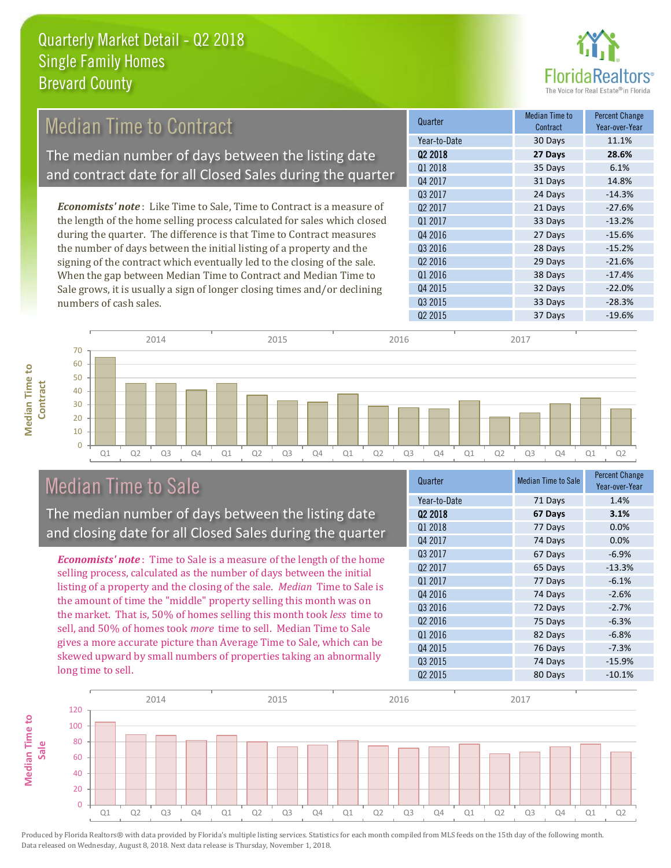

#### 31 Days 14.8% Q3 2017 24 Days -14.3% Quarter Median Time to **Median Time to Contract** Percent Change Q2 2018 **27 Days 28.6%** Year-to-Date 30 Days 11.1% Q1 2018 **35 Days** 6.1% Q4 2017 Q4 2016 27 Days -15.6% Q3 2016 28 Days -15.2% Q2 2017 21 Days -27.6% Q1 2017 33 Days -13.2% *Economists' note* : Like Time to Sale, Time to Contract is a measure of the length of the home selling process calculated for sales which closed during the quarter. The difference is that Time to Contract measures the number of days between the initial listing of a property and the Median Time to Contract The median number of days between the listing date and contract date for all Closed Sales during the quarter

signing of the contract which eventually led to the closing of the sale. When the gap between Median Time to Contract and Median Time to Sale grows, it is usually a sign of longer closing times and/or declining numbers of cash sales.





### Median Time to Sale

**Median Time to** 

**Median Time to** 

The median number of days between the listing date and closing date for all Closed Sales during the quarter

*Economists' note* : Time to Sale is a measure of the length of the home selling process, calculated as the number of days between the initial listing of a property and the closing of the sale. *Median* Time to Sale is the amount of time the "middle" property selling this month was on the market. That is, 50% of homes selling this month took *less* time to sell, and 50% of homes took *more* time to sell. Median Time to Sale gives a more accurate picture than Average Time to Sale, which can be skewed upward by small numbers of properties taking an abnormally long time to sell.

| Quarter             | <b>Median Time to Sale</b> | Percent Change<br>Year-over-Year |
|---------------------|----------------------------|----------------------------------|
| Year-to-Date        | 71 Days                    | 1.4%                             |
| 02 2018             | 67 Days                    | 3.1%                             |
| Q1 2018             | 77 Days                    | 0.0%                             |
| Q4 2017             | 74 Days                    | 0.0%                             |
| Q3 2017             | 67 Days                    | $-6.9%$                          |
| 02 2017             | 65 Days                    | $-13.3%$                         |
| Q1 2017             | 77 Days                    | $-6.1%$                          |
| Q4 2016             | 74 Days                    | $-2.6%$                          |
| Q3 2016             | 72 Days                    | $-2.7%$                          |
| Q <sub>2</sub> 2016 | 75 Days                    | $-6.3%$                          |
| Q1 2016             | 82 Days                    | $-6.8%$                          |
| Q4 2015             | 76 Days                    | $-7.3%$                          |
| Q3 2015             | 74 Days                    | $-15.9%$                         |
| Q <sub>2</sub> 2015 | 80 Days                    | $-10.1%$                         |
|                     |                            |                                  |

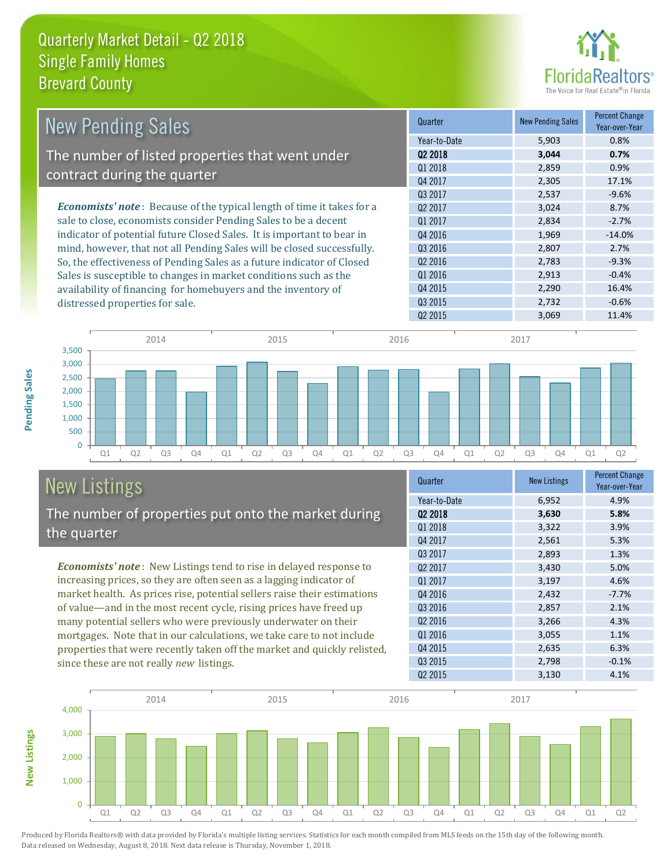

| <b>New Pending Sales</b>                                                       | Quarter             | <b>New Pending Sales</b> | <b>Percent Change</b><br>Year-over-Year |
|--------------------------------------------------------------------------------|---------------------|--------------------------|-----------------------------------------|
|                                                                                | Year-to-Date        | 5,903                    | 0.8%                                    |
| The number of listed properties that went under                                | Q <sub>2</sub> 2018 | 3,044                    | 0.7%                                    |
|                                                                                | Q1 2018             | 2,859                    | 0.9%                                    |
| contract during the quarter                                                    | Q4 2017             | 2,305                    | 17.1%                                   |
|                                                                                | Q3 2017             | 2,537                    | $-9.6%$                                 |
| <b>Economists' note</b> : Because of the typical length of time it takes for a | Q <sub>2</sub> 2017 | 3,024                    | 8.7%                                    |
| sale to close, economists consider Pending Sales to be a decent                | 01 2017             | 2,834                    | $-2.7%$                                 |
| indicator of potential future Closed Sales. It is important to bear in         | Q4 2016             | 1,969                    | $-14.0%$                                |
| mind, however, that not all Pending Sales will be closed successfully.         | Q3 2016             | 2,807                    | 2.7%                                    |
| So, the effectiveness of Pending Sales as a future indicator of Closed         | Q <sub>2</sub> 2016 | 2,783                    | $-9.3%$                                 |
| Sales is susceptible to changes in market conditions such as the               | Q1 2016             | 2,913                    | $-0.4%$                                 |
| availability of financing for homebuyers and the inventory of                  | Q4 2015             | 2,290                    | 16.4%                                   |
| distressed properties for sale.                                                | Q3 2015             | 2,732                    | $-0.6%$                                 |
|                                                                                | 02 2015             | 3.069                    | 11.4%                                   |



# New Listings

The number of properties put onto the market during the quarter

*Economists' note* : New Listings tend to rise in delayed response to increasing prices, so they are often seen as a lagging indicator of market health. As prices rise, potential sellers raise their estimations of value—and in the most recent cycle, rising prices have freed up many potential sellers who were previously underwater on their mortgages. Note that in our calculations, we take care to not include properties that were recently taken off the market and quickly relisted, since these are not really *new* listings.

| Quarter      | <b>New Listings</b> | <b>Percent Change</b><br>Year-over-Year |
|--------------|---------------------|-----------------------------------------|
| Year-to-Date | 6,952               | 4.9%                                    |
| 02 2018      | 3,630               | 5.8%                                    |
| 01 2018      | 3,322               | 3.9%                                    |
| Q4 2017      | 2,561               | 5.3%                                    |
| Q3 2017      | 2,893               | 1.3%                                    |
| 02 2017      | 3,430               | 5.0%                                    |
| Q1 2017      | 3,197               | 4.6%                                    |
| Q4 2016      | 2,432               | $-7.7%$                                 |
| Q3 2016      | 2,857               | 2.1%                                    |
| 02 2016      | 3,266               | 4.3%                                    |
| Q1 2016      | 3,055               | 1.1%                                    |
| Q4 2015      | 2,635               | 6.3%                                    |
| Q3 2015      | 2,798               | $-0.1%$                                 |
| 02 2015      | 3,130               | 4.1%                                    |



Produced by Florida Realtors® with data provided by Florida's multiple listing services. Statistics for each month compiled from MLS feeds on the 15th day of the following month. Data released on Wednesday, August 8, 2018. Next data release is Thursday, November 1, 2018.

**New Listings**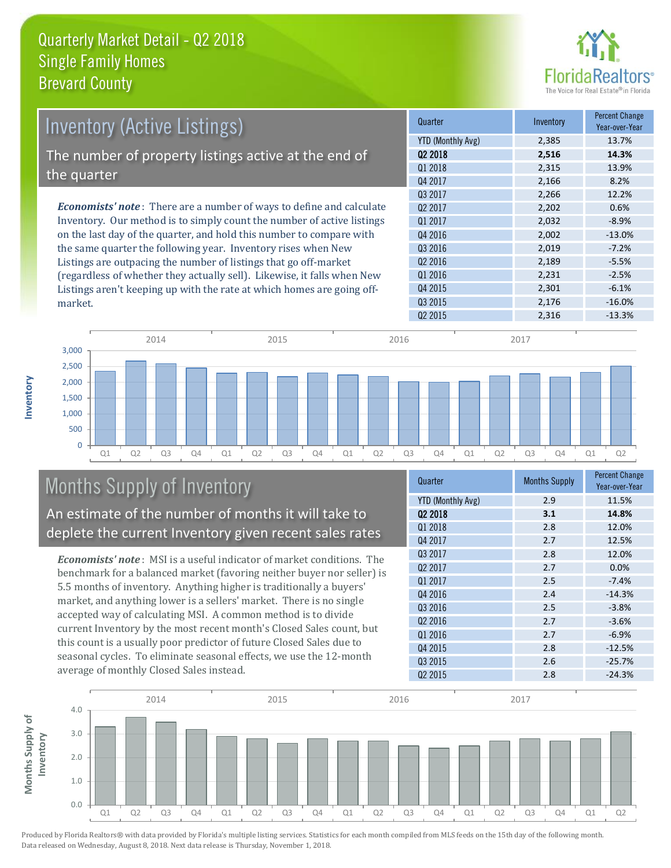

| Inventory (Active Listings)                                                 | Quarter             | Inventory | <b>Percent Change</b><br>Year-over-Year |
|-----------------------------------------------------------------------------|---------------------|-----------|-----------------------------------------|
|                                                                             | YTD (Monthly Avg)   | 2,385     | 13.7%                                   |
| The number of property listings active at the end of                        | Q <sub>2</sub> 2018 | 2,516     | 14.3%                                   |
|                                                                             | Q1 2018             | 2,315     | 13.9%                                   |
| the quarter                                                                 | Q4 2017             | 2,166     | 8.2%                                    |
|                                                                             | Q3 2017             | 2,266     | 12.2%                                   |
| <b>Economists' note:</b> There are a number of ways to define and calculate | Q <sub>2</sub> 2017 | 2,202     | 0.6%                                    |
| Inventory. Our method is to simply count the number of active listings      | Q1 2017             | 2,032     | $-8.9%$                                 |
| on the last day of the quarter, and hold this number to compare with        | Q4 2016             | 2,002     | $-13.0%$                                |
| the same quarter the following year. Inventory rises when New               | Q3 2016             | 2,019     | $-7.2%$                                 |
| Listings are outpacing the number of listings that go off-market            | Q <sub>2</sub> 2016 | 2,189     | $-5.5%$                                 |
| (regardless of whether they actually sell). Likewise, it falls when New     | Q1 2016             | 2,231     | $-2.5%$                                 |
| Listings aren't keeping up with the rate at which homes are going off-      | Q4 2015             | 2,301     | $-6.1%$                                 |
| market.                                                                     | Q3 2015             | 2,176     | $-16.0%$                                |



## Months Supply of Inventory

An estimate of the number of months it will take to deplete the current Inventory given recent sales rates

*Economists' note* : MSI is a useful indicator of market conditions. The benchmark for a balanced market (favoring neither buyer nor seller) is 5.5 months of inventory. Anything higher is traditionally a buyers' market, and anything lower is a sellers' market. There is no single accepted way of calculating MSI. A common method is to divide current Inventory by the most recent month's Closed Sales count, but this count is a usually poor predictor of future Closed Sales due to seasonal cycles. To eliminate seasonal effects, we use the 12-month average of monthly Closed Sales instead.

| Quarter             | <b>Months Supply</b> | <b>Percent Change</b><br>Year-over-Year |
|---------------------|----------------------|-----------------------------------------|
| YTD (Monthly Avg)   | 2.9                  | 11.5%                                   |
| Q <sub>2</sub> 2018 | 3.1                  | 14.8%                                   |
| 01 2018             | 2.8                  | 12.0%                                   |
| Q4 2017             | 2.7                  | 12.5%                                   |
| Q3 2017             | 2.8                  | 12.0%                                   |
| Q <sub>2</sub> 2017 | 2.7                  | 0.0%                                    |
| Q1 2017             | 2.5                  | $-7.4%$                                 |
| Q4 2016             | 2.4                  | $-14.3%$                                |
| Q3 2016             | 2.5                  | $-3.8%$                                 |
| 02 2016             | 2.7                  | $-3.6%$                                 |
| 01 2016             | 2.7                  | $-6.9%$                                 |
| Q4 2015             | 2.8                  | $-12.5%$                                |
| Q3 2015             | 2.6                  | $-25.7%$                                |
| Q <sub>2</sub> 2015 | 2.8                  | $-24.3%$                                |



market.

**Inventory**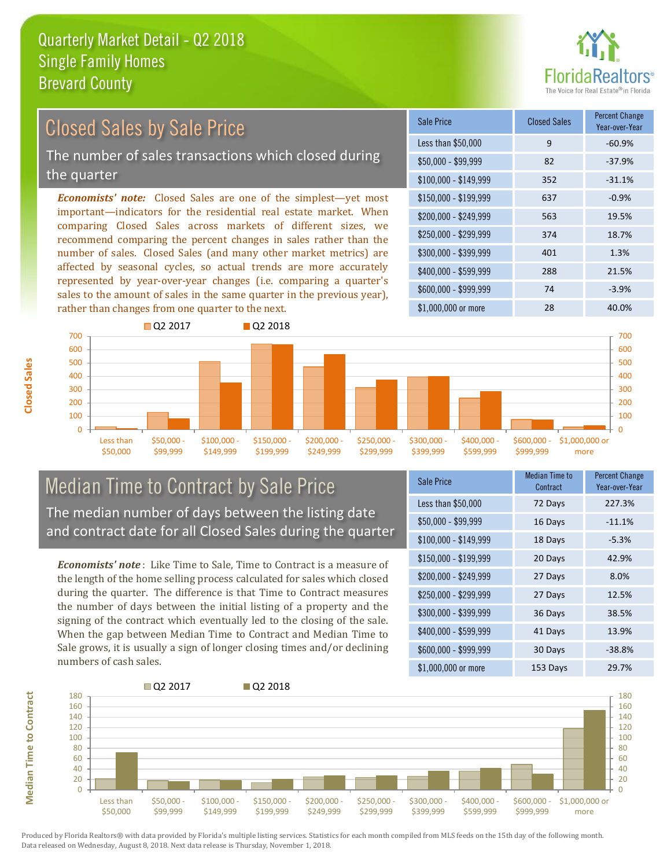

### Closed Sales by Sale Price

The number of sales transactions which closed during the quarter

*Economists' note:* Closed Sales are one of the simplest—yet most important—indicators for the residential real estate market. When comparing Closed Sales across markets of different sizes, we recommend comparing the percent changes in sales rather than the number of sales. Closed Sales (and many other market metrics) are affected by seasonal cycles, so actual trends are more accurately represented by year-over-year changes (i.e. comparing a quarter's sales to the amount of sales in the same quarter in the previous year), rather than changes from one quarter to the next.

| Sale Price            | <b>Closed Sales</b> | <b>Percent Change</b><br>Year-over-Year |
|-----------------------|---------------------|-----------------------------------------|
| Less than \$50,000    | 9                   | $-60.9%$                                |
| $$50,000 - $99,999$   | 82                  | $-37.9%$                                |
| $$100,000 - $149,999$ | 352                 | $-31.1%$                                |
| \$150,000 - \$199,999 | 637                 | $-0.9%$                                 |
| \$200,000 - \$249,999 | 563                 | 19.5%                                   |
| \$250,000 - \$299,999 | 374                 | 18.7%                                   |
| \$300,000 - \$399,999 | 401                 | 1.3%                                    |
| \$400,000 - \$599,999 | 288                 | 21.5%                                   |
| \$600,000 - \$999,999 | 74                  | $-3.9%$                                 |
| \$1,000,000 or more   | 28                  | 40.0%                                   |



### Median Time to Contract by Sale Price The median number of days between the listing date and contract date for all Closed Sales during the quarter

*Economists' note* : Like Time to Sale, Time to Contract is a measure of the length of the home selling process calculated for sales which closed during the quarter. The difference is that Time to Contract measures the number of days between the initial listing of a property and the signing of the contract which eventually led to the closing of the sale. When the gap between Median Time to Contract and Median Time to Sale grows, it is usually a sign of longer closing times and/or declining numbers of cash sales.

| Sale Price            | <b>Median Time to</b><br>Contract | <b>Percent Change</b><br>Year-over-Year |
|-----------------------|-----------------------------------|-----------------------------------------|
| Less than \$50,000    | 72 Days                           | 227.3%                                  |
| \$50,000 - \$99,999   | 16 Days                           | $-11.1%$                                |
| $$100,000 - $149,999$ | 18 Days                           | $-5.3%$                                 |
| $$150,000 - $199,999$ | 20 Days                           | 42.9%                                   |
| \$200,000 - \$249,999 | 27 Days                           | 8.0%                                    |
| \$250,000 - \$299,999 | 27 Days                           | 12.5%                                   |
| \$300,000 - \$399,999 | 36 Days                           | 38.5%                                   |
| \$400,000 - \$599,999 | 41 Days                           | 13.9%                                   |
| \$600,000 - \$999,999 | 30 Days                           | $-38.8%$                                |
| \$1,000,000 or more   | 153 Days                          | 29.7%                                   |



Produced by Florida Realtors® with data provided by Florida's multiple listing services. Statistics for each month compiled from MLS feeds on the 15th day of the following month. Data released on Wednesday, August 8, 2018. Next data release is Thursday, November 1, 2018.

**Median Time to Contract**

**Median Time to Contract**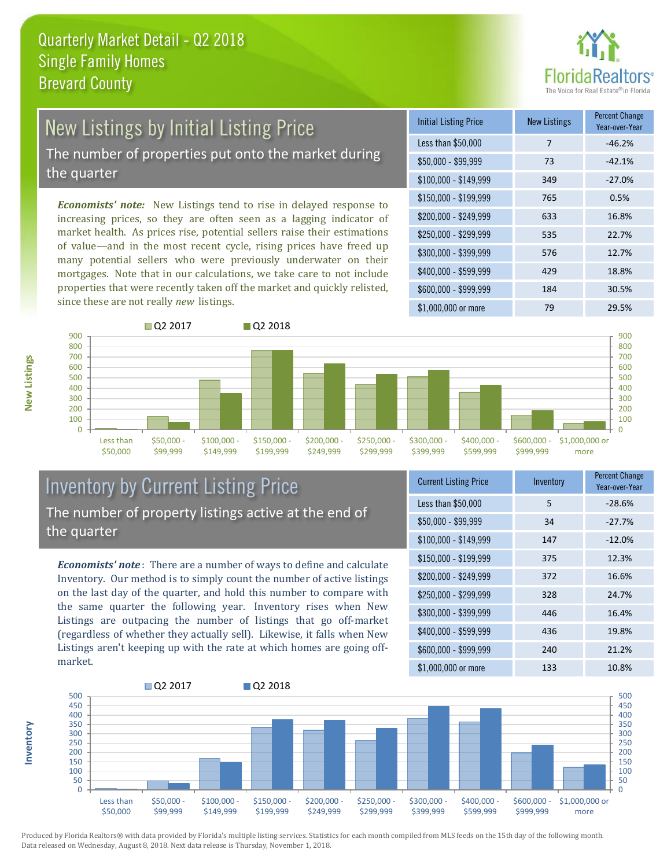

# New Listings by Initial Listing Price

The number of properties put onto the market during the quarter

*Economists' note:* New Listings tend to rise in delayed response to increasing prices, so they are often seen as a lagging indicator of market health. As prices rise, potential sellers raise their estimations of value—and in the most recent cycle, rising prices have freed up many potential sellers who were previously underwater on their mortgages. Note that in our calculations, we take care to not include properties that were recently taken off the market and quickly relisted, since these are not really *new* listings.

| <b>Initial Listing Price</b> | <b>New Listings</b> | <b>Percent Change</b><br>Year-over-Year |
|------------------------------|---------------------|-----------------------------------------|
| Less than \$50,000           | 7                   | $-46.2%$                                |
| $$50,000 - $99,999$          | 73                  | $-42.1%$                                |
| $$100,000 - $149,999$        | 349                 | $-27.0%$                                |
| \$150,000 - \$199,999        | 765                 | 0.5%                                    |
| \$200,000 - \$249,999        | 633                 | 16.8%                                   |
| \$250,000 - \$299,999        | 535                 | 22.7%                                   |
| \$300,000 - \$399,999        | 576                 | 12.7%                                   |
| \$400,000 - \$599,999        | 429                 | 18.8%                                   |
| \$600,000 - \$999,999        | 184                 | 30.5%                                   |
| \$1,000,000 or more          | 79                  | 29.5%                                   |



### Inventory by Current Listing Price The number of property listings active at the end of the quarter

*Economists' note* : There are a number of ways to define and calculate Inventory. Our method is to simply count the number of active listings on the last day of the quarter, and hold this number to compare with the same quarter the following year. Inventory rises when New Listings are outpacing the number of listings that go off-market (regardless of whether they actually sell). Likewise, it falls when New Listings aren't keeping up with the rate at which homes are going offmarket.

| <b>Current Listing Price</b> | Inventory | <b>Percent Change</b><br>Year-over-Year |
|------------------------------|-----------|-----------------------------------------|
| Less than \$50,000           | 5         | $-28.6%$                                |
| $$50,000 - $99,999$          | 34        | $-27.7%$                                |
| $$100,000 - $149,999$        | 147       | $-12.0%$                                |
| $$150,000 - $199,999$        | 375       | 12.3%                                   |
| \$200,000 - \$249,999        | 372       | 16.6%                                   |
| $$250,000 - $299,999$        | 328       | 24.7%                                   |
| \$300,000 - \$399,999        | 446       | 16.4%                                   |
| \$400,000 - \$599,999        | 436       | 19.8%                                   |
| \$600,000 - \$999,999        | 240       | 21.2%                                   |
| \$1,000,000 or more          | 133       | 10.8%                                   |



Produced by Florida Realtors® with data provided by Florida's multiple listing services. Statistics for each month compiled from MLS feeds on the 15th day of the following month. Data released on Wednesday, August 8, 2018. Next data release is Thursday, November 1, 2018.

**Inventory**